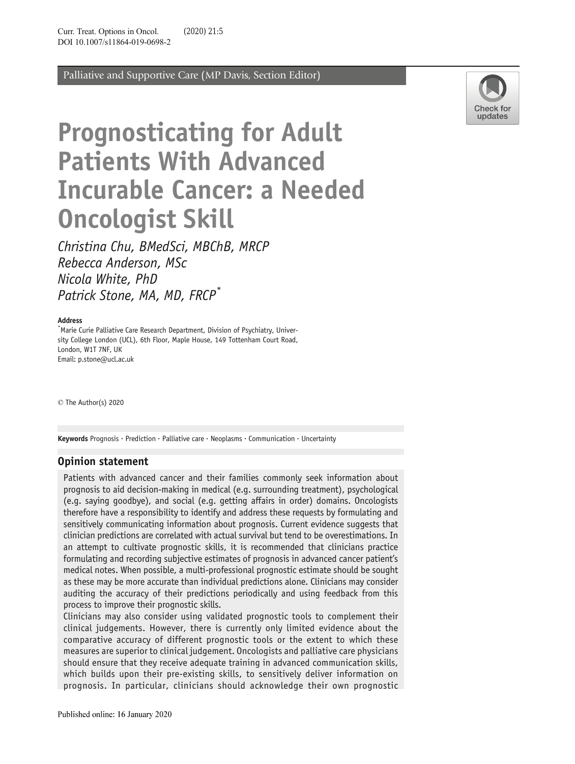Palliative and Supportive Care (MP Davis, Section Editor)



# Prognosticating for Adult Patients With Advanced Incurable Cancer: a Needed Oncologist Skill

Christina Chu, BMedSci, MBChB, MRCP Rebecca Anderson, MSc Nicola White, PhD Patrick Stone, MA, MD, FRCP<sup>\*</sup>

#### Address

\* Marie Curie Palliative Care Research Department, Division of Psychiatry, University College London (UCL), 6th Floor, Maple House, 149 Tottenham Court Road, London, W1T 7NF, UK Email: p.stone@ucl.ac.uk

 $\odot$  The Author(s) 2020

Keywords Prognosis  $\cdot$  Prediction  $\cdot$  Palliative care  $\cdot$  Neoplasms  $\cdot$  Communication  $\cdot$  Uncertainty

### Opinion statement

Patients with advanced cancer and their families commonly seek information about prognosis to aid decision-making in medical (e.g. surrounding treatment), psychological (e.g. saying goodbye), and social (e.g. getting affairs in order) domains. Oncologists therefore have a responsibility to identify and address these requests by formulating and sensitively communicating information about prognosis. Current evidence suggests that clinician predictions are correlated with actual survival but tend to be overestimations. In an attempt to cultivate prognostic skills, it is recommended that clinicians practice formulating and recording subjective estimates of prognosis in advanced cancer patient's medical notes. When possible, a multi-professional prognostic estimate should be sought as these may be more accurate than individual predictions alone. Clinicians may consider auditing the accuracy of their predictions periodically and using feedback from this process to improve their prognostic skills.

Clinicians may also consider using validated prognostic tools to complement their clinical judgements. However, there is currently only limited evidence about the comparative accuracy of different prognostic tools or the extent to which these measures are superior to clinical judgement. Oncologists and palliative care physicians should ensure that they receive adequate training in advanced communication skills, which builds upon their pre-existing skills, to sensitively deliver information on prognosis. In particular, clinicians should acknowledge their own prognostic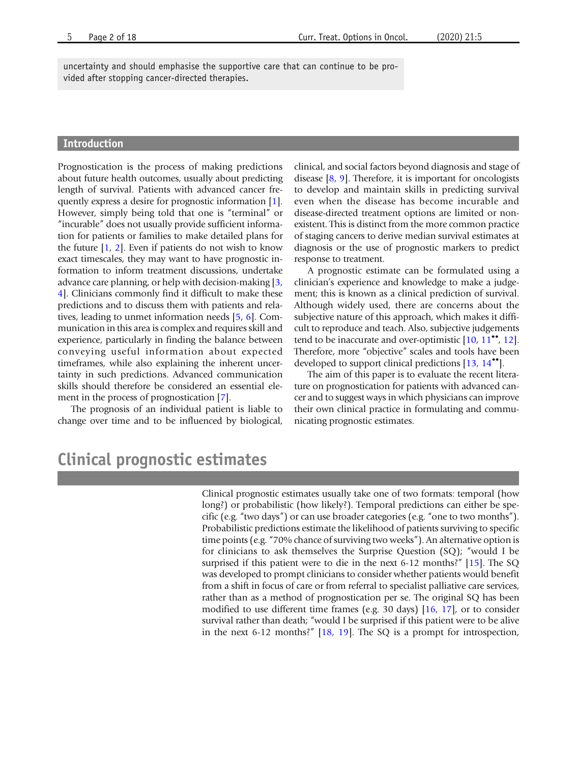uncertainty and should emphasise the supportive care that can continue to be provided after stopping cancer-directed therapies.

### Introduction

Prognostication is the process of making predictions about future health outcomes, usually about predicting length of survival. Patients with advanced cancer frequently express a desire for prognostic information [[1](#page-12-0)]. However, simply being told that one is "terminal" or "incurable" does not usually provide sufficient information for patients or families to make detailed plans for the future  $[1, 2]$  $[1, 2]$  $[1, 2]$  $[1, 2]$ . Even if patients do not wish to know exact timescales, they may want to have prognostic information to inform treatment discussions, undertake advance care planning, or help with decision-making [\[3](#page-13-0), [4](#page-13-0)]. Clinicians commonly find it difficult to make these predictions and to discuss them with patients and relatives, leading to unmet information needs [\[5](#page-13-0), [6](#page-13-0)]. Communication in this area is complex and requires skill and experience, particularly in finding the balance between conveying useful information about expected timeframes, while also explaining the inherent uncertainty in such predictions. Advanced communication skills should therefore be considered an essential element in the process of prognostication [\[7\]](#page-13-0).

The prognosis of an individual patient is liable to change over time and to be influenced by biological,

clinical, and social factors beyond diagnosis and stage of disease [[8](#page-13-0), [9](#page-13-0)]. Therefore, it is important for oncologists to develop and maintain skills in predicting survival even when the disease has become incurable and disease-directed treatment options are limited or nonexistent. This is distinct from the more common practice of staging cancers to derive median survival estimates at diagnosis or the use of prognostic markers to predict response to treatment.

A prognostic estimate can be formulated using a clinician's experience and knowledge to make a judgement; this is known as a clinical prediction of survival. Although widely used, there are concerns about the subjective nature of this approach, which makes it difficult to reproduce and teach. Also, subjective judgements tend to be inaccurate and over-optimistic  $[10, 11^{\bullet \bullet}, 12]$  $[10, 11^{\bullet \bullet}, 12]$  $[10, 11^{\bullet \bullet}, 12]$  $[10, 11^{\bullet \bullet}, 12]$  $[10, 11^{\bullet \bullet}, 12]$  $[10, 11^{\bullet \bullet}, 12]$  $[10, 11^{\bullet \bullet}, 12]$ . Therefore, more "objective" scales and tools have been developed to support clinical predictions [[13,](#page-13-0) [14](#page-13-0)<sup>••</sup>].

The aim of this paper is to evaluate the recent literature on prognostication for patients with advanced cancer and to suggest ways in which physicians can improve their own clinical practice in formulating and communicating prognostic estimates.

# Clinical prognostic estimates

Clinical prognostic estimates usually take one of two formats: temporal (how long?) or probabilistic (how likely?). Temporal predictions can either be specific (e.g. "two days") or can use broader categories (e.g. "one to two months"). Probabilistic predictions estimate the likelihood of patients surviving to specific time points (e.g. "70% chance of surviving two weeks"). An alternative option is for clinicians to ask themselves the Surprise Question (SQ); "would I be surprised if this patient were to die in the next 6-12 months?" [[15\]](#page-13-0). The SQ was developed to prompt clinicians to consider whether patients would benefit from a shift in focus of care or from referral to specialist palliative care services, rather than as a method of prognostication per se. The original SQ has been modified to use different time frames (e.g. 30 days) [\[16](#page-13-0), [17](#page-13-0)], or to consider survival rather than death; "would I be surprised if this patient were to be alive in the next 6-12 months?" [\[18,](#page-13-0) [19](#page-13-0)]. The SQ is a prompt for introspection,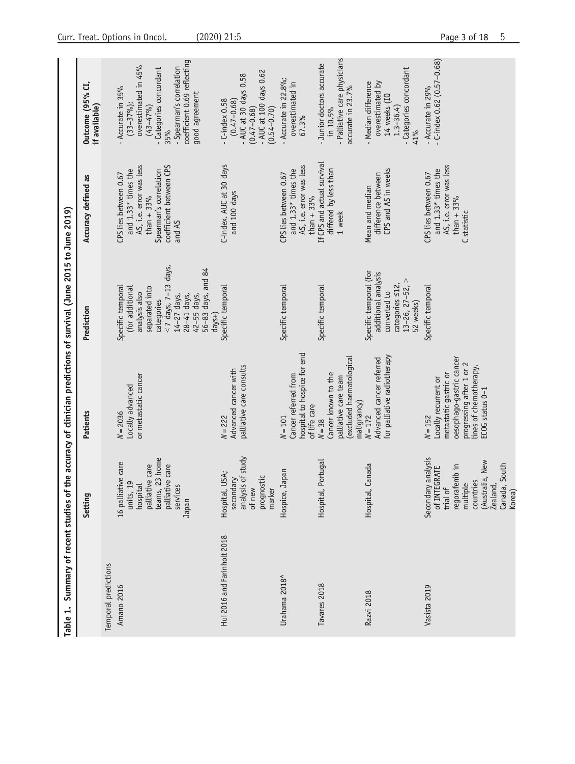<span id="page-2-0"></span>

| Summary of recent studies of<br>$\div$<br><b>Table</b> |                                                                                                                                                           | the accuracy of clinician predictions of survival (June 2015 to June 2019)                                                                                      |                                                                                                                                                                                               |                                                                                                                                                       |                                                                                                                                                                                            |
|--------------------------------------------------------|-----------------------------------------------------------------------------------------------------------------------------------------------------------|-----------------------------------------------------------------------------------------------------------------------------------------------------------------|-----------------------------------------------------------------------------------------------------------------------------------------------------------------------------------------------|-------------------------------------------------------------------------------------------------------------------------------------------------------|--------------------------------------------------------------------------------------------------------------------------------------------------------------------------------------------|
|                                                        | Setting                                                                                                                                                   | Patients                                                                                                                                                        | Prediction                                                                                                                                                                                    | Accuracy defined as                                                                                                                                   | Outcome (95% CI,<br>if available)                                                                                                                                                          |
| Temporal predictions<br>Amano 2016                     | teams, 23 home<br>16 palliative care<br>palliative care<br>palliative care<br>units, 19<br>hospital<br>services<br>Japan                                  | or metastatic cancer<br>Locally advanced<br>$N = 2036$                                                                                                          | $<$ 7 days, 7-13 days,<br>56-83 days, and 84<br>Specific temporal<br>(for additional<br>separated into<br>analysis also<br>14-27 days,<br>42-55 days,<br>28-41 days,<br>categories<br>$days+$ | coefficient between CPS<br>AS, i.e. error was less<br>and 1.33* times the<br>Spearman's correlation<br>CPS lies between 0.67<br>than $+33%$<br>and AS | coefficient 0.69 reflecting<br>overestimated in 45%<br>- Spearman's correlation<br>- Categories concordant<br>- Accurate in 35%<br>good agreement<br>$(33 - 37%)$ ;<br>$(43 - 47%)$<br>35% |
| Hui 2016 and Farinholt 2018                            | analysis of study<br>USA;<br>prognostic<br>secondary<br>of new<br>marker<br>Hospital,                                                                     | palliative care consults<br>Advanced cancer with<br>$N = 222$                                                                                                   | Specific temporal                                                                                                                                                                             | C-index. AUC at 30 days<br>and 100 days                                                                                                               | - AUC at 100 days $0.62$<br>$-$ AUC at 30 days 0.58<br>$(0.47 - 0.68)$<br>$-$ C-index $0.58$<br>$(0.54 - 0.70)$<br>$(0.47 - 0.68)$                                                         |
| Urahama 2018 <sup>^</sup>                              | Hospice, Japan                                                                                                                                            | hospital to hospice for end<br>Cancer referred from<br>of life care<br>$N = 101$                                                                                | Specific temporal                                                                                                                                                                             | AS, i.e. error was less<br>and 1.33* times the<br>CPS lies between 0.67<br>than $+33%$                                                                | - Accurate in $22.8\%$ ;<br>overestimated in<br>67.3%                                                                                                                                      |
| Tavares 2018                                           | Portugal<br>Hospital,                                                                                                                                     | (excluded haematological<br>Cancer known to the<br>palliative care team<br>malignancy)<br>$N = 38$                                                              | Specific temporal                                                                                                                                                                             | If CPS and actual survival<br>differed by less than<br>1 week                                                                                         | - Palliative care physicians<br>- Junior doctors accurate<br>accurate in 23.7%<br>in 10.5%                                                                                                 |
| Razvi 2018                                             | Canada<br>Hospital,                                                                                                                                       | for palliative radiotherapy<br>Advanced cancer referred<br>$N = 172$                                                                                            | Specific temporal (for<br>additional analysis<br>$13 - 26$ , $27 - 52$ , $>$<br>categories <12,<br>converted to<br>52 weeks)                                                                  | CPS and AS in weeks<br>difference between<br>Mean and median                                                                                          | - Categories concordant<br>overestimated by<br>- Median difference<br>14 weeks (IQ<br>1.3-36.4)<br>41%                                                                                     |
| Vasista 2019                                           | Secondary analysis<br>(Australia, New<br>regorafenib in<br>Canada, South<br>of INTEGRATE<br>countries<br>multiple<br>trial of<br><b>Zealand</b><br>Korea) | oesophago-gastric cancer<br>progressing after 1 or 2<br>lines of chemotherapy,<br>metastatic gastric or<br>Locally recurrent or<br>ECOG status 0-1<br>$N = 152$ | Specific temporal                                                                                                                                                                             | AS, i.e. error was less<br>and 1.33* times the<br>CPS lies between 0.67<br>than $+33%$<br>C statistic                                                 | $-c$ -index 0.62 (0.57-0.68)<br>- Accurate in 29%                                                                                                                                          |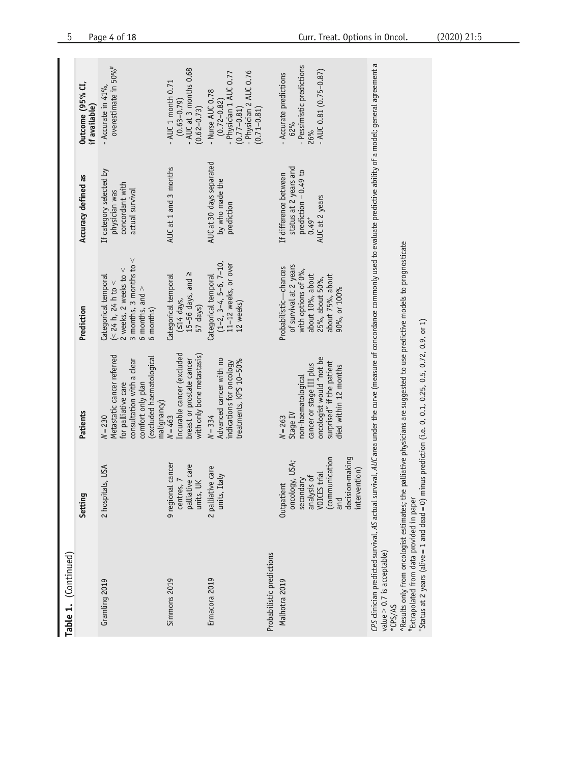| Table 1. (Continued)                                                                                                                                                                                                                                                                                                                                                                                                                                |                                                                                                                                      |                                                                                                                                                             |                                                                                                                                                   |                                                                                                     |                                                                                                                               |
|-----------------------------------------------------------------------------------------------------------------------------------------------------------------------------------------------------------------------------------------------------------------------------------------------------------------------------------------------------------------------------------------------------------------------------------------------------|--------------------------------------------------------------------------------------------------------------------------------------|-------------------------------------------------------------------------------------------------------------------------------------------------------------|---------------------------------------------------------------------------------------------------------------------------------------------------|-----------------------------------------------------------------------------------------------------|-------------------------------------------------------------------------------------------------------------------------------|
|                                                                                                                                                                                                                                                                                                                                                                                                                                                     | Setting                                                                                                                              | Patients                                                                                                                                                    | Prediction                                                                                                                                        | Accuracy defined as                                                                                 | Outcome (95% CI,<br>if available)                                                                                             |
| Gramling 2019                                                                                                                                                                                                                                                                                                                                                                                                                                       | 2 hospitals, USA                                                                                                                     | Metastatic cancer referred<br>(excluded haematological<br>consultation with a clear<br>comfort only plan<br>for palliative care<br>malignancy)<br>$N = 230$ | 3 months, 3 months to $<$<br>$\vee$<br>2 weeks, 2 weeks to<br>Categorical temporal<br>(< 24 h, 24 h to <<br>6 months, and $>$<br>6 months)        | If category selected by<br>concordant with<br>actual survival<br>physician was                      | overestimate in $50\%$ <sup>#</sup><br>- Accurate in $41\%$ ,                                                                 |
| Simmons 2019                                                                                                                                                                                                                                                                                                                                                                                                                                        | 9 regional cancer<br>palliative care<br>centres, 7<br>units, UK                                                                      | Incurable cancer (excluded<br>with only bone metastasis)<br>breast or prostate cancer<br>$N = 463$                                                          | $15-56$ days, and $\geq$<br>Categorical temporal<br>$(514$ days,<br>57 days)                                                                      | AUC at 1 and 3 months                                                                               | - AUC at 3 months 0.68<br>$-$ AUC 1 month 0.71<br>$(0.63 - 0.79)$<br>$(0.62 - 0.73)$                                          |
| Ermacora 2019                                                                                                                                                                                                                                                                                                                                                                                                                                       | 2 palliative care<br>Italy<br>units,                                                                                                 | Advanced cancer with no<br>treatments, KPS 10-50%<br>indications for oncology<br>$N = 334$                                                                  | $(1-2, 3-4, 5-6, 7-10,$<br>11-12 weeks, or over<br>Categorical temporal<br>12 weeks)                                                              | AUC at 30 days separated<br>by who made the<br>prediction                                           | - Physician 2 AUC 0.76<br>- Physician 1 AUC 0.77<br>- Nurse AUC 0.78<br>$(0.72 - 0.82)$<br>$(0.71 - 0.81)$<br>$(0.77 - 0.81)$ |
| Probabilistic predictions                                                                                                                                                                                                                                                                                                                                                                                                                           |                                                                                                                                      |                                                                                                                                                             |                                                                                                                                                   |                                                                                                     |                                                                                                                               |
| Malhotra 2019                                                                                                                                                                                                                                                                                                                                                                                                                                       | decision-making<br>communication<br>oncology, USA;<br>intervention)<br>VOICES trial<br>analysis of<br>secondary<br>Outpatient<br>and | oncologist would "not be<br>surprised" if the patient<br>cancer or stage III plus<br>died within 12 months<br>non-haematological<br>Stage IV<br>$N = 263$   | of survival at 2 years<br>Probabilistic-chances<br>with options of 0%,<br>about 10%, about<br>about 75%, about<br>25%, about 50%,<br>90%, or 100% | status at 2 years and<br>prediction - 0.49 to<br>If difference between<br>AUC at 2 years<br>$0.49+$ | - Pessimistic predictions<br>$-$ AUC 0.81 (0.75-0.87)<br>- Accurate predictions<br>62%                                        |
| <i>CPS</i> clinician predicted survival, AS actual survival, <i>AUC</i> area under the curve (measure of concordance commonly used to evaluate predictive ability of a model; general agreement a<br>"Status at 2 years (alive = 1 and dead = 0) minus prediction (i.e. 0, 0.1, 0.25, 0.5, 0.72, 0.9, or 1)<br>^Results only from oncologist estimates; the<br>#Extrapolated from data provided in paper<br>value $>$ 0.7 is acceptable)<br>*CPS/AS |                                                                                                                                      | palliative physicians are suggested to use predictive models to prognosticate                                                                               |                                                                                                                                                   |                                                                                                     |                                                                                                                               |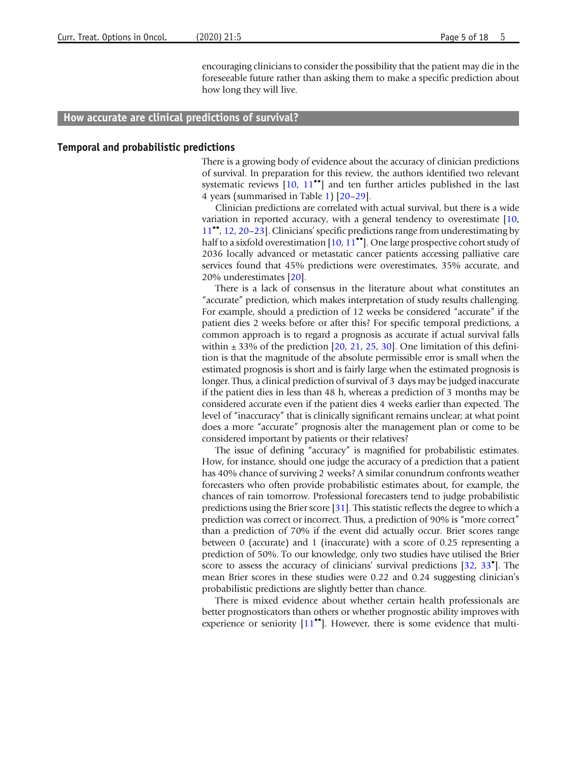encouraging clinicians to consider the possibility that the patient may die in the foreseeable future rather than asking them to make a specific prediction about how long they will live.

### How accurate are clinical predictions of survival?

#### Temporal and probabilistic predictions

There is a growing body of evidence about the accuracy of clinician predictions of survival. In preparation for this review, the authors identified two relevant systematic reviews  $[10, 11$  $[10, 11$  $[10, 11$ <sup>\*\*</sup>] and ten further articles published in the last 4 years (summarised in Table [1\)](#page-2-0) [[20](#page-13-0)–[29\]](#page-14-0).

Clinician predictions are correlated with actual survival, but there is a wide variation in reported accuracy, with a general tendency to overestimate [[10](#page-13-0), [11](#page-13-0)••, [12,](#page-13-0) [20](#page-13-0)–[23](#page-13-0)]. Clinicians'specific predictions range from underestimating by half to a sixfold overestimation  $[10, 11^{\bullet\bullet}]$  $[10, 11^{\bullet\bullet}]$  $[10, 11^{\bullet\bullet}]$  $[10, 11^{\bullet\bullet}]$  $[10, 11^{\bullet\bullet}]$ . One large prospective cohort study of 2036 locally advanced or metastatic cancer patients accessing palliative care services found that 45% predictions were overestimates, 35% accurate, and 20% underestimates [\[20\]](#page-13-0).

There is a lack of consensus in the literature about what constitutes an "accurate" prediction, which makes interpretation of study results challenging. For example, should a prediction of 12 weeks be considered "accurate" if the patient dies 2 weeks before or after this? For specific temporal predictions, a common approach is to regard a prognosis as accurate if actual survival falls within  $\pm$  33% of the prediction [[20](#page-13-0), [21](#page-13-0), [25,](#page-13-0) [30\]](#page-14-0). One limitation of this definition is that the magnitude of the absolute permissible error is small when the estimated prognosis is short and is fairly large when the estimated prognosis is longer. Thus, a clinical prediction of survival of 3 days may be judged inaccurate if the patient dies in less than 48 h, whereas a prediction of 3 months may be considered accurate even if the patient dies 4 weeks earlier than expected. The level of "inaccuracy" that is clinically significant remains unclear; at what point does a more "accurate" prognosis alter the management plan or come to be considered important by patients or their relatives?

The issue of defining "accuracy" is magnified for probabilistic estimates. How, for instance, should one judge the accuracy of a prediction that a patient has 40% chance of surviving 2 weeks? A similar conundrum confronts weather forecasters who often provide probabilistic estimates about, for example, the chances of rain tomorrow. Professional forecasters tend to judge probabilistic predictions using the Brier score [\[31\]](#page-14-0). This statistic reflects the degree to which a prediction was correct or incorrect. Thus, a prediction of 90% is "more correct" than a prediction of 70% if the event did actually occur. Brier scores range between 0 (accurate) and 1 (inaccurate) with a score of 0.25 representing a prediction of 50%. To our knowledge, only two studies have utilised the Brier score to assess the accuracy of clinicians' survival predictions [[32,](#page-14-0) [33](#page-14-0)<sup>°</sup>]. The mean Brier scores in these studies were 0.22 and 0.24 suggesting clinician's probabilistic predictions are slightly better than chance.

There is mixed evidence about whether certain health professionals are better prognosticators than others or whether prognostic ability improves with experience or seniority  $[11^{\bullet\bullet}]$  $[11^{\bullet\bullet}]$  $[11^{\bullet\bullet}]$ . However, there is some evidence that multi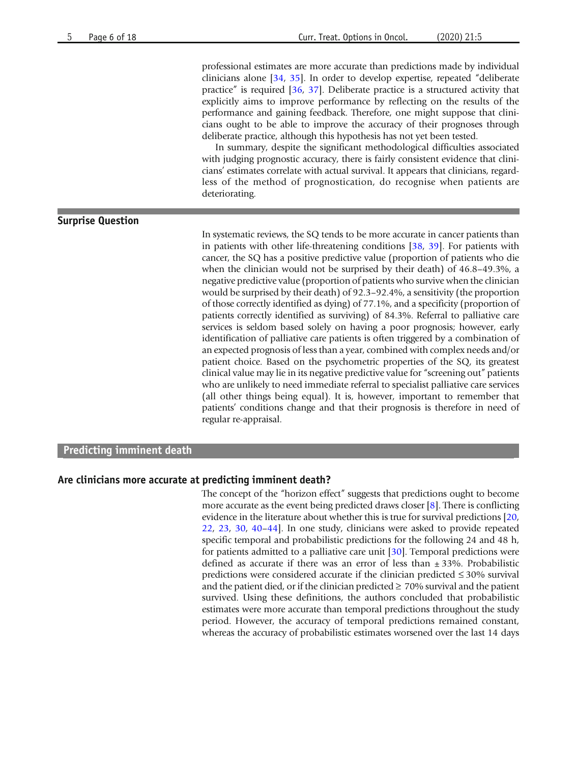professional estimates are more accurate than predictions made by individual clinicians alone [\[34,](#page-14-0) [35](#page-14-0)]. In order to develop expertise, repeated "deliberate practice" is required [\[36](#page-14-0), [37](#page-14-0)]. Deliberate practice is a structured activity that explicitly aims to improve performance by reflecting on the results of the performance and gaining feedback. Therefore, one might suppose that clinicians ought to be able to improve the accuracy of their prognoses through deliberate practice, although this hypothesis has not yet been tested.

In summary, despite the significant methodological difficulties associated with judging prognostic accuracy, there is fairly consistent evidence that clinicians' estimates correlate with actual survival. It appears that clinicians, regardless of the method of prognostication, do recognise when patients are deteriorating.

### Surprise Question

In systematic reviews, the SQ tends to be more accurate in cancer patients than in patients with other life-threatening conditions [[38,](#page-14-0) [39\]](#page-14-0). For patients with cancer, the SQ has a positive predictive value (proportion of patients who die when the clinician would not be surprised by their death) of 46.8–49.3%, a negative predictive value (proportion of patients who survive when the clinician would be surprised by their death) of 92.3–92.4%, a sensitivity (the proportion of those correctly identified as dying) of 77.1%, and a specificity (proportion of patients correctly identified as surviving) of 84.3%. Referral to palliative care services is seldom based solely on having a poor prognosis; however, early identification of palliative care patients is often triggered by a combination of an expected prognosis of less than a year, combined with complex needs and/or patient choice. Based on the psychometric properties of the SQ, its greatest clinical value may lie in its negative predictive value for "screening out" patients who are unlikely to need immediate referral to specialist palliative care services (all other things being equal). It is, however, important to remember that patients' conditions change and that their prognosis is therefore in need of regular re-appraisal.

#### Predicting imminent death

#### Are clinicians more accurate at predicting imminent death?

The concept of the "horizon effect" suggests that predictions ought to become more accurate as the event being predicted draws closer [\[8\]](#page-13-0). There is conflicting evidence in the literature about whether this is true for survival predictions [[20](#page-13-0), [22](#page-13-0), [23](#page-13-0), [30](#page-14-0), [40](#page-14-0)–[44\]](#page-14-0). In one study, clinicians were asked to provide repeated specific temporal and probabilistic predictions for the following 24 and 48 h, for patients admitted to a palliative care unit [\[30](#page-14-0)]. Temporal predictions were defined as accurate if there was an error of less than  $\pm$  33%. Probabilistic predictions were considered accurate if the clinician predicted ≤ 30% survival and the patient died, or if the clinician predicted  $\geq 70\%$  survival and the patient survived. Using these definitions, the authors concluded that probabilistic estimates were more accurate than temporal predictions throughout the study period. However, the accuracy of temporal predictions remained constant, whereas the accuracy of probabilistic estimates worsened over the last 14 days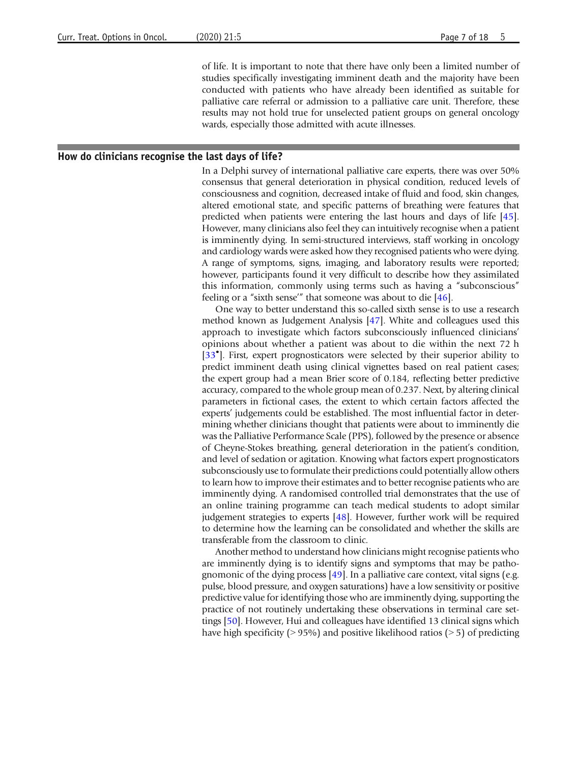of life. It is important to note that there have only been a limited number of studies specifically investigating imminent death and the majority have been conducted with patients who have already been identified as suitable for palliative care referral or admission to a palliative care unit. Therefore, these results may not hold true for unselected patient groups on general oncology wards, especially those admitted with acute illnesses.

#### How do clinicians recognise the last days of life?

In a Delphi survey of international palliative care experts, there was over 50% consensus that general deterioration in physical condition, reduced levels of consciousness and cognition, decreased intake of fluid and food, skin changes, altered emotional state, and specific patterns of breathing were features that predicted when patients were entering the last hours and days of life [\[45](#page-14-0)]. However, many clinicians also feel they can intuitively recognise when a patient is imminently dying. In semi-structured interviews, staff working in oncology and cardiology wards were asked how they recognised patients who were dying. A range of symptoms, signs, imaging, and laboratory results were reported; however, participants found it very difficult to describe how they assimilated this information, commonly using terms such as having a "subconscious" feeling or a "sixth sense'" that someone was about to die [\[46\]](#page-14-0).

One way to better understand this so-called sixth sense is to use a research method known as Judgement Analysis [[47\]](#page-14-0). White and colleagues used this approach to investigate which factors subconsciously influenced clinicians' opinions about whether a patient was about to die within the next 72 h [[33](#page-14-0)<sup>°</sup>]. First, expert prognosticators were selected by their superior ability to predict imminent death using clinical vignettes based on real patient cases; the expert group had a mean Brier score of 0.184, reflecting better predictive accuracy, compared to the whole group mean of 0.237. Next, by altering clinical parameters in fictional cases, the extent to which certain factors affected the experts' judgements could be established. The most influential factor in determining whether clinicians thought that patients were about to imminently die was the Palliative Performance Scale (PPS), followed by the presence or absence of Cheyne-Stokes breathing, general deterioration in the patient's condition, and level of sedation or agitation. Knowing what factors expert prognosticators subconsciously use to formulate their predictions could potentially allow others to learn how to improve their estimates and to better recognise patients who are imminently dying. A randomised controlled trial demonstrates that the use of an online training programme can teach medical students to adopt similar judgement strategies to experts [\[48\]](#page-14-0). However, further work will be required to determine how the learning can be consolidated and whether the skills are transferable from the classroom to clinic.

Another method to understand how clinicians might recognise patients who are imminently dying is to identify signs and symptoms that may be pathognomonic of the dying process [[49\]](#page-15-0). In a palliative care context, vital signs (e.g. pulse, blood pressure, and oxygen saturations) have a low sensitivity or positive predictive value for identifying those who are imminently dying, supporting the practice of not routinely undertaking these observations in terminal care settings [\[50\]](#page-15-0). However, Hui and colleagues have identified 13 clinical signs which have high specificity ( $> 95\%$ ) and positive likelihood ratios ( $> 5$ ) of predicting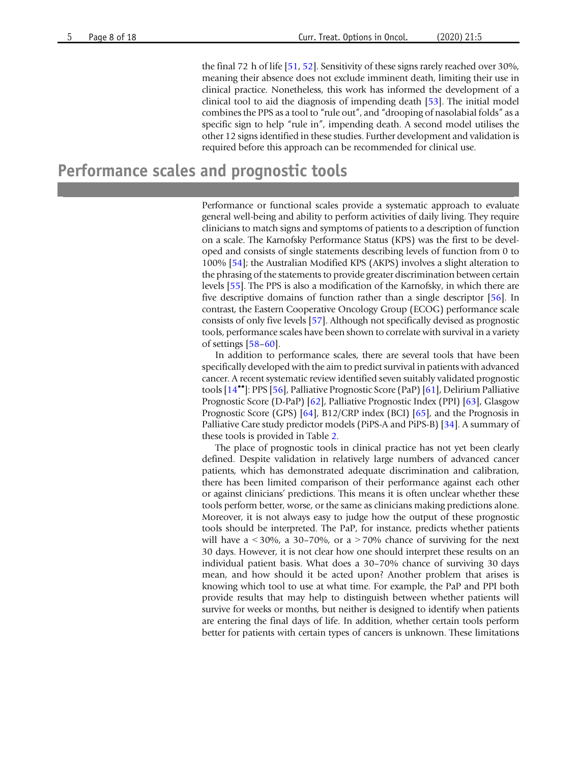the final 72 h of life [\[51,](#page-15-0) [52](#page-15-0)]. Sensitivity of these signs rarely reached over 30%, meaning their absence does not exclude imminent death, limiting their use in clinical practice. Nonetheless, this work has informed the development of a clinical tool to aid the diagnosis of impending death [[53](#page-15-0)]. The initial model combines the PPS as a tool to "rule out", and "drooping of nasolabial folds" as a specific sign to help "rule in", impending death. A second model utilises the other 12 signs identified in these studies. Further development and validation is required before this approach can be recommended for clinical use.

## Performance scales and prognostic tools

Performance or functional scales provide a systematic approach to evaluate general well-being and ability to perform activities of daily living. They require clinicians to match signs and symptoms of patients to a description of function on a scale. The Karnofsky Performance Status (KPS) was the first to be developed and consists of single statements describing levels of function from 0 to 100% [\[54](#page-15-0)]; the Australian Modified KPS (AKPS) involves a slight alteration to the phrasing of the statements to provide greater discrimination between certain levels [\[55](#page-15-0)]. The PPS is also a modification of the Karnofsky, in which there are five descriptive domains of function rather than a single descriptor [\[56](#page-15-0)]. In contrast, the Eastern Cooperative Oncology Group (ECOG) performance scale consists of only five levels [\[57\]](#page-15-0). Although not specifically devised as prognostic tools, performance scales have been shown to correlate with survival in a variety of settings [[58](#page-15-0)–[60\]](#page-15-0).

In addition to performance scales, there are several tools that have been specifically developed with the aim to predict survival in patients with advanced cancer. A recent systematic review identified seven suitably validated prognostic tools [\[14](#page-13-0)••]: PPS [\[56](#page-15-0)], Palliative Prognostic Score (PaP) [[61\]](#page-15-0), Delirium Palliative Prognostic Score (D-PaP) [\[62](#page-15-0)], Palliative Prognostic Index (PPI) [[63](#page-15-0)], Glasgow Prognostic Score (GPS) [[64\]](#page-15-0), B12/CRP index (BCI) [[65](#page-15-0)], and the Prognosis in Palliative Care study predictor models (PiPS-A and PiPS-B) [\[34\]](#page-14-0). A summary of these tools is provided in Table [2.](#page-8-0)

The place of prognostic tools in clinical practice has not yet been clearly defined. Despite validation in relatively large numbers of advanced cancer patients, which has demonstrated adequate discrimination and calibration, there has been limited comparison of their performance against each other or against clinicians' predictions. This means it is often unclear whether these tools perform better, worse, or the same as clinicians making predictions alone. Moreover, it is not always easy to judge how the output of these prognostic tools should be interpreted. The PaP, for instance, predicts whether patients will have a  $\lt$  30%, a 30–70%, or a  $>$  70% chance of surviving for the next 30 days. However, it is not clear how one should interpret these results on an individual patient basis. What does a 30–70% chance of surviving 30 days mean, and how should it be acted upon? Another problem that arises is knowing which tool to use at what time. For example, the PaP and PPI both provide results that may help to distinguish between whether patients will survive for weeks or months, but neither is designed to identify when patients are entering the final days of life. In addition, whether certain tools perform better for patients with certain types of cancers is unknown. These limitations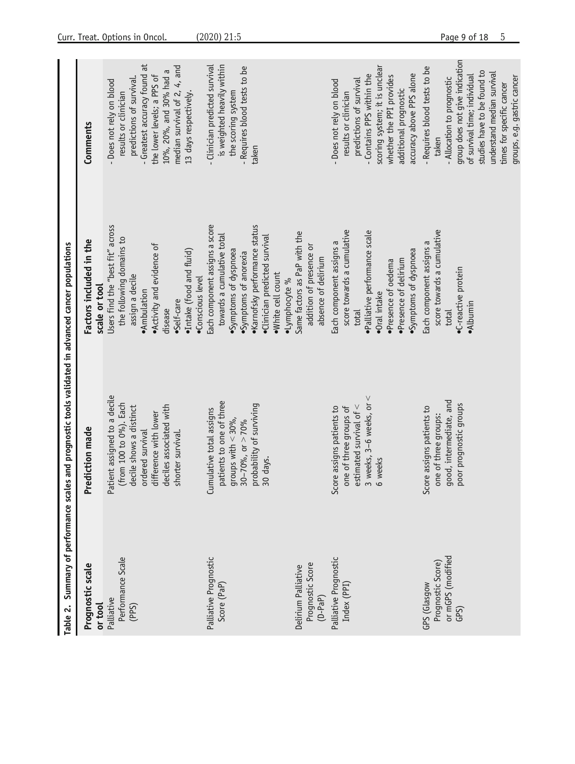<span id="page-8-0"></span>

| Prognostic scale            | Table 2. Summary of performance scales and prognostic tools validated in advanced cancer populations<br>Prediction made | Factors included in the          | Comments                       |
|-----------------------------|-------------------------------------------------------------------------------------------------------------------------|----------------------------------|--------------------------------|
| or tool                     |                                                                                                                         | scale or tool                    |                                |
| Palliative                  | Patient assigned to a decile                                                                                            | Users find the "best fit" across | - Does not rely on blood       |
| Performance Scale           | (from 100 to 0%). Each                                                                                                  | the following domains to         | results or clinician           |
| (PPS)                       | decile shows a distinct                                                                                                 | assign a decile                  | predictions of survival.       |
|                             | ordered survival                                                                                                        | · Ambulation                     | - Greatest accuracy found at   |
|                             | difference with lower                                                                                                   | . Activity and evidence of       | the lower levels; a PPS of     |
|                             | deciles associated with                                                                                                 | disease                          | 10%, 20%, and 30% had a        |
|                             | shorter survival.                                                                                                       | •Self-care                       | median survival of 2, 4, and   |
|                             |                                                                                                                         | ·Intake (food and fluid)         | 13 days respectively.          |
|                             |                                                                                                                         | ·Conscious level                 |                                |
| Palliative Prognostic       | Cumulative total assigns                                                                                                | Each component assigns a score   | - Clinician predicted survival |
| Score (PaP)                 | patients to one of three                                                                                                | towards a cumulative total       | is weighted heavily within     |
|                             | groups with $<$ 30%,                                                                                                    | ·Symptoms of dyspnoea            | the scoring system             |
|                             | $30-70%$ , or $> 70%$                                                                                                   | ·Symptoms of anorexia            | - Requires blood tests to be   |
|                             | probability of surviving                                                                                                | ·Karnofsky performance status    | taken                          |
|                             | 30 days.                                                                                                                | ·Clinician predicted survival    |                                |
|                             |                                                                                                                         | · White cell count               |                                |
|                             |                                                                                                                         | ·Lymphocyte %                    |                                |
| Delirium Palliative         |                                                                                                                         | Same factors as PaP with the     |                                |
| Prognostic Score<br>(D-PaP) |                                                                                                                         | addition of presence or          |                                |
|                             |                                                                                                                         | absence of delirium              |                                |
| Palliative Prognostic       | Score assigns patients to                                                                                               | Each component assigns a         | - Does not rely on blood       |
| Index (PPI)                 | one of three groups of                                                                                                  | score towards a cumulative       | results or clinician           |
|                             | estimated survival of $\lt$                                                                                             | total                            | predictions of survival        |
|                             | 3 weeks, $3-6$ weeks, or $\leq$                                                                                         | · Palliative performance scale   | - Contains PPS within the      |
|                             | 6 weeks                                                                                                                 | ·Oral intake                     | scoring system; it is unclear  |
|                             |                                                                                                                         | ·Presence of oedema              | whether the PPI provides       |
|                             |                                                                                                                         | ·Presence of delirium            | additional prognostic          |
|                             |                                                                                                                         | Symptoms of dyspnoea             | accuracy above PPS alone       |
| GPS (Glasgow                | Score assigns patients to                                                                                               | Each component assigns a         | - Requires blood tests to be   |
| Prognostic Score)           | one of three groups:                                                                                                    | score towards a cumulative       | taken                          |
| or mGPS (modified           | good, intermediate, and                                                                                                 | total                            | - Allocation to prognostic     |
| $GPS$ )                     | poor prognostic groups                                                                                                  | •C-reactive protein              | group does not give indication |
|                             |                                                                                                                         | ·Albumin                         | of survival time; individual   |
|                             |                                                                                                                         |                                  | studies have to be found to    |
|                             |                                                                                                                         |                                  | understand median survival     |
|                             |                                                                                                                         |                                  | times for specific cancer      |
|                             |                                                                                                                         |                                  | groups, e.g. gastric cancer    |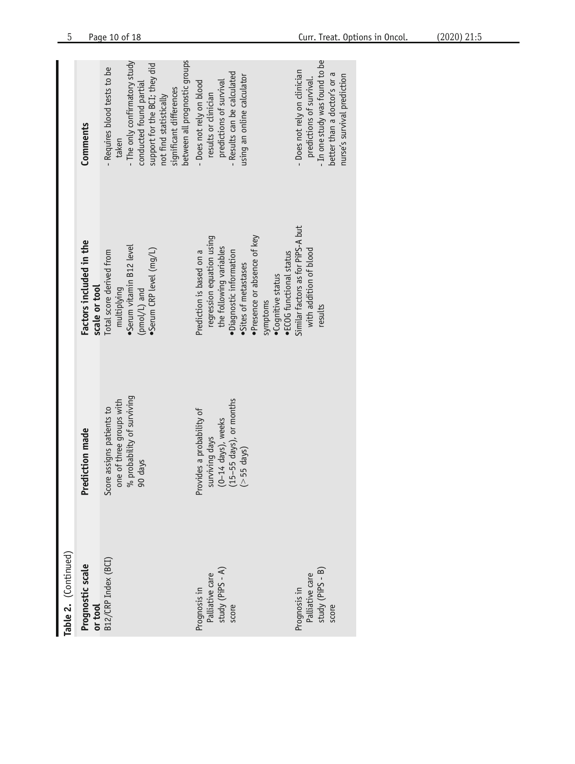| Table 2. (Continued)                                         |                                                                                                                  |                                                                                                                                                                    |                                                                                                                                                                                       |
|--------------------------------------------------------------|------------------------------------------------------------------------------------------------------------------|--------------------------------------------------------------------------------------------------------------------------------------------------------------------|---------------------------------------------------------------------------------------------------------------------------------------------------------------------------------------|
| Prognostic scale<br>or tool                                  | Prediction made                                                                                                  | Factors included in the<br>scale or tool                                                                                                                           | Comments                                                                                                                                                                              |
| B12/CRP Index (BCI)                                          | % probability of surviving<br>one of three groups with<br>Score assigns patients to<br>90 days                   | Serum vitamin B12 level<br>•Serum CRP level (mg/L)<br>Total score derived from<br>multiplying<br>$(pmo/L)$ and                                                     | The only confirmatory study<br>support for the BCI; they did<br>- Requires blood tests to be<br>conducted found partial<br>significant differences<br>not find statistically<br>taken |
| Prognosis in<br>Palliative care<br>study (PiPS - A)<br>score | $(15-55$ days), or months<br>Provides a probability of<br>(0-14 days), weeks<br>surviving days<br>$($ > 55 days) | regression equation using<br>·Presence or absence of key<br>the following variables<br>Prediction is based on a<br>·Diagnostic information<br>·Sites of metastases | between all prognostic groups<br>- Results can be calculated<br>using an online calculator<br>- Does not rely on blood<br>predictions of survival<br>results or clinician             |
| study (PiPS - B)<br>Prognosis in<br>Palliative care<br>score |                                                                                                                  | Similar factors as for PiPS-A but<br>with addition of blood<br>·ECOG functional status<br>•Cognitive status<br>symptoms<br>results                                 | - In one study was found to be<br>- Does not rely on clinician<br>better than a doctor's or a<br>nurse's survival prediction<br>predictions of survival.                              |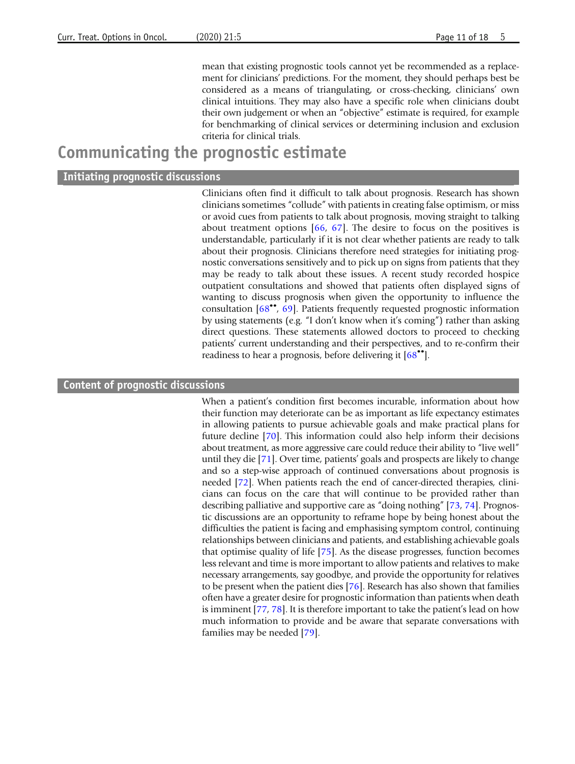mean that existing prognostic tools cannot yet be recommended as a replacement for clinicians' predictions. For the moment, they should perhaps best be considered as a means of triangulating, or cross-checking, clinicians' own clinical intuitions. They may also have a specific role when clinicians doubt their own judgement or when an "objective" estimate is required, for example for benchmarking of clinical services or determining inclusion and exclusion criteria for clinical trials.

### Communicating the prognostic estimate

#### Initiating prognostic discussions

Clinicians often find it difficult to talk about prognosis. Research has shown clinicians sometimes "collude" with patients in creating false optimism, or miss or avoid cues from patients to talk about prognosis, moving straight to talking about treatment options [[66,](#page-15-0) [67\]](#page-15-0). The desire to focus on the positives is understandable, particularly if it is not clear whether patients are ready to talk about their prognosis. Clinicians therefore need strategies for initiating prognostic conversations sensitively and to pick up on signs from patients that they may be ready to talk about these issues. A recent study recorded hospice outpatient consultations and showed that patients often displayed signs of wanting to discuss prognosis when given the opportunity to influence the consultation [\[68](#page-15-0)••, [69](#page-15-0)]. Patients frequently requested prognostic information by using statements (e.g. "I don't know when it's coming") rather than asking direct questions. These statements allowed doctors to proceed to checking patients' current understanding and their perspectives, and to re-confirm their readiness to hear a prognosis, before delivering it [\[68](#page-15-0)••].

### Content of prognostic discussions

When a patient's condition first becomes incurable, information about how their function may deteriorate can be as important as life expectancy estimates in allowing patients to pursue achievable goals and make practical plans for future decline [\[70](#page-15-0)]. This information could also help inform their decisions about treatment, as more aggressive care could reduce their ability to "live well" until they die [\[71](#page-15-0)]. Over time, patients' goals and prospects are likely to change and so a step-wise approach of continued conversations about prognosis is needed [[72](#page-16-0)]. When patients reach the end of cancer-directed therapies, clinicians can focus on the care that will continue to be provided rather than describing palliative and supportive care as "doing nothing" [[73,](#page-16-0) [74](#page-16-0)]. Prognostic discussions are an opportunity to reframe hope by being honest about the difficulties the patient is facing and emphasising symptom control, continuing relationships between clinicians and patients, and establishing achievable goals that optimise quality of life [\[75](#page-16-0)]. As the disease progresses, function becomes less relevant and time is more important to allow patients and relatives to make necessary arrangements, say goodbye, and provide the opportunity for relatives to be present when the patient dies [\[76](#page-16-0)]. Research has also shown that families often have a greater desire for prognostic information than patients when death is imminent [[77,](#page-16-0) [78](#page-16-0)]. It is therefore important to take the patient's lead on how much information to provide and be aware that separate conversations with families may be needed [\[79\]](#page-16-0).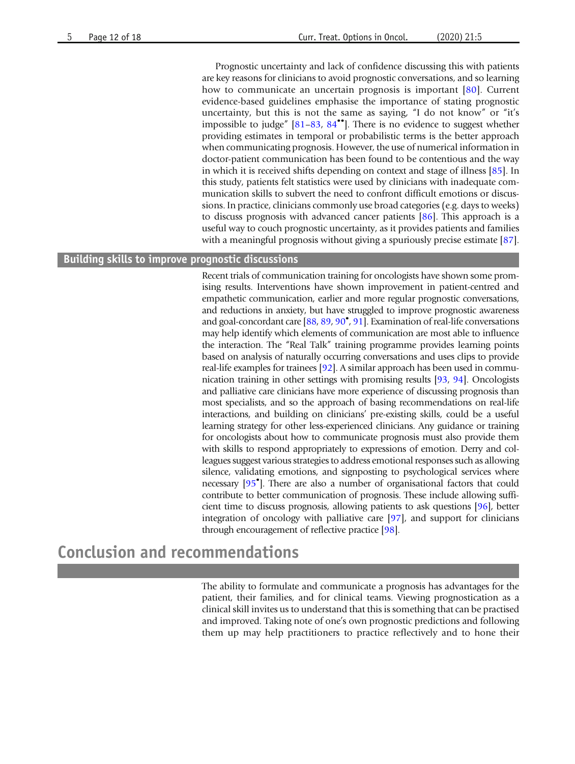Prognostic uncertainty and lack of confidence discussing this with patients are key reasons for clinicians to avoid prognostic conversations, and so learning how to communicate an uncertain prognosis is important [[80\]](#page-16-0). Current evidence-based guidelines emphasise the importance of stating prognostic uncertainty, but this is not the same as saying, "I do not know" or "it's impossible to judge"  $[81-83, 84$  $[81-83, 84$  $[81-83, 84$  $[81-83, 84$  $[81-83, 84$ <sup>\*\*</sup>]. There is no evidence to suggest whether providing estimates in temporal or probabilistic terms is the better approach when communicating prognosis. However, the use of numerical information in doctor-patient communication has been found to be contentious and the way in which it is received shifts depending on context and stage of illness [[85](#page-16-0)]. In this study, patients felt statistics were used by clinicians with inadequate communication skills to subvert the need to confront difficult emotions or discussions. In practice, clinicians commonly use broad categories (e.g. days to weeks) to discuss prognosis with advanced cancer patients [\[86](#page-16-0)]. This approach is a useful way to couch prognostic uncertainty, as it provides patients and families with a meaningful prognosis without giving a spuriously precise estimate [\[87](#page-16-0)].

### Building skills to improve prognostic discussions

Recent trials of communication training for oncologists have shown some promising results. Interventions have shown improvement in patient-centred and empathetic communication, earlier and more regular prognostic conversations, and reductions in anxiety, but have struggled to improve prognostic awareness and goal-concordant care [\[88,](#page-16-0) [89,](#page-16-0) [90](#page-16-0)• , [91](#page-16-0)]. Examination of real-life conversations may help identify which elements of communication are most able to influence the interaction. The "Real Talk" training programme provides learning points based on analysis of naturally occurring conversations and uses clips to provide real-life examples for trainees [[92](#page-17-0)]. A similar approach has been used in communication training in other settings with promising results [\[93,](#page-17-0) [94](#page-17-0)]. Oncologists and palliative care clinicians have more experience of discussing prognosis than most specialists, and so the approach of basing recommendations on real-life interactions, and building on clinicians' pre-existing skills, could be a useful learning strategy for other less-experienced clinicians. Any guidance or training for oncologists about how to communicate prognosis must also provide them with skills to respond appropriately to expressions of emotion. Derry and colleagues suggest various strategies to address emotional responses such as allowing silence, validating emotions, and signposting to psychological services where necessary [[95](#page-17-0)• ]. There are also a number of organisational factors that could contribute to better communication of prognosis. These include allowing sufficient time to discuss prognosis, allowing patients to ask questions [[96](#page-17-0)], better integration of oncology with palliative care [[97\]](#page-17-0), and support for clinicians through encouragement of reflective practice [\[98\]](#page-17-0).

# Conclusion and recommendations

The ability to formulate and communicate a prognosis has advantages for the patient, their families, and for clinical teams. Viewing prognostication as a clinical skill invites us to understand that this is something that can be practised and improved. Taking note of one's own prognostic predictions and following them up may help practitioners to practice reflectively and to hone their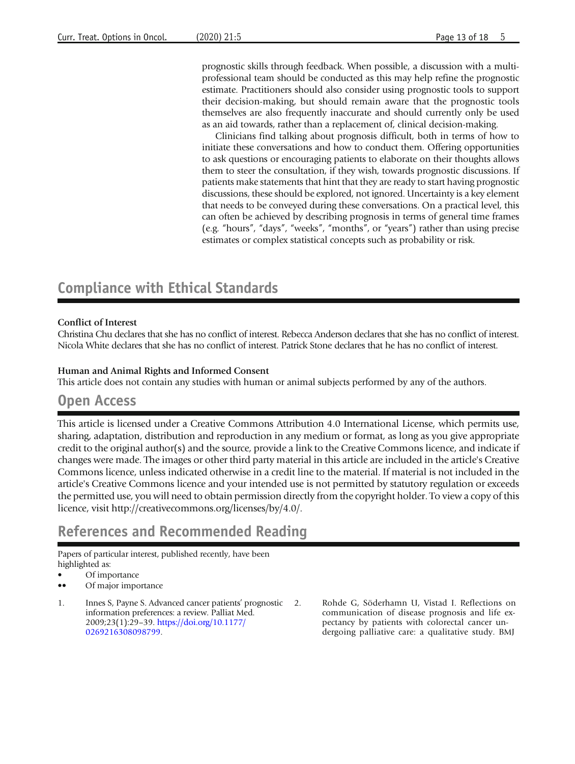<span id="page-12-0"></span>prognostic skills through feedback. When possible, a discussion with a multiprofessional team should be conducted as this may help refine the prognostic estimate. Practitioners should also consider using prognostic tools to support their decision-making, but should remain aware that the prognostic tools themselves are also frequently inaccurate and should currently only be used as an aid towards, rather than a replacement of, clinical decision-making.

Clinicians find talking about prognosis difficult, both in terms of how to initiate these conversations and how to conduct them. Offering opportunities to ask questions or encouraging patients to elaborate on their thoughts allows them to steer the consultation, if they wish, towards prognostic discussions. If patients make statements that hint that they are ready to start having prognostic discussions, these should be explored, not ignored. Uncertainty is a key element that needs to be conveyed during these conversations. On a practical level, this can often be achieved by describing prognosis in terms of general time frames (e.g. "hours", "days", "weeks", "months", or "years") rather than using precise estimates or complex statistical concepts such as probability or risk.

## Compliance with Ethical Standards

### Conflict of Interest

Christina Chu declares that she has no conflict of interest. Rebecca Anderson declares that she has no conflict of interest. Nicola White declares that she has no conflict of interest. Patrick Stone declares that he has no conflict of interest.

#### Human and Animal Rights and Informed Consent

This article does not contain any studies with human or animal subjects performed by any of the authors.

### Open Access

This article is licensed under a Creative Commons Attribution 4.0 International License, which permits use, sharing, adaptation, distribution and reproduction in any medium or format, as long as you give appropriate credit to the original author(s) and the source, provide a link to the Creative Commons licence, and indicate if changes were made. The images or other third party material in this article are included in the article's Creative Commons licence, unless indicated otherwise in a credit line to the material. If material is not included in the article's Creative Commons licence and your intended use is not permitted by statutory regulation or exceeds the permitted use, you will need to obtain permission directly from the copyright holder. To view a copy of this licence, visit http://creativecommons.org/licenses/by/4.0/.

## References and Recommended Reading

Papers of particular interest, published recently, have been highlighted as:

- Of importance
- •• Of major importance
- 1. Innes S, Payne S. Advanced cancer patients' prognostic information preferences: a review. Palliat Med. 2009;23(1):29–39. [https://doi.org/10.1177/](http://dx.doi.org/10.1177/0269216308098799) [0269216308098799](http://dx.doi.org/10.1177/0269216308098799).
	- 2. Rohde G, Söderhamn U, Vistad I. Reflections on communication of disease prognosis and life expectancy by patients with colorectal cancer undergoing palliative care: a qualitative study. BMJ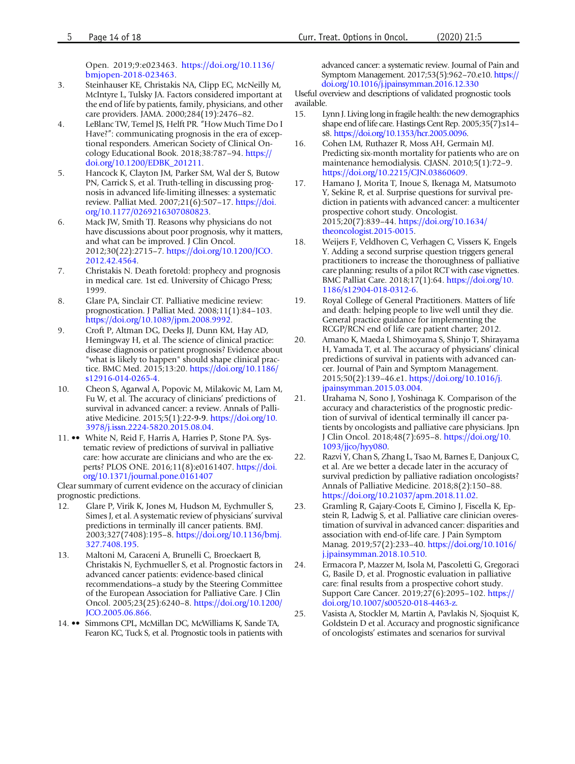Open. 2019;9:e023463. [https://doi.org/10.1136/](http://dx.doi.org/10.1136/bmjopen-2018-023463) [bmjopen-2018-023463.](http://dx.doi.org/10.1136/bmjopen-2018-023463)

- <span id="page-13-0"></span>3. Steinhauser KE, Christakis NA, Clipp EC, McNeilly M, McIntyre L, Tulsky JA. Factors considered important at the end of life by patients, family, physicians, and other care providers. JAMA. 2000;284(19):2476–82.
- 4. LeBlanc TW, Temel JS, Helft PR. "How Much Time Do I Have?": communicating prognosis in the era of exceptional responders. American Society of Clinical Oncology Educational Book. 2018;38:787–94. [https://](http://dx.doi.org/10.1200/EDBK_201211) [doi.org/10.1200/EDBK\\_201211.](http://dx.doi.org/10.1200/EDBK_201211)
- 5. Hancock K, Clayton JM, Parker SM, Wal der S, Butow PN, Carrick S, et al. Truth-telling in discussing prognosis in advanced life-limiting illnesses: a systematic review. Palliat Med. 2007;21(6):507–17. [https://doi.](http://dx.doi.org/10.1177/0269216307080823) [org/10.1177/0269216307080823](http://dx.doi.org/10.1177/0269216307080823).
- 6. Mack JW, Smith TJ. Reasons why physicians do not have discussions about poor prognosis, why it matters, and what can be improved. J Clin Oncol. 2012;30(22):2715–7. [https://doi.org/10.1200/JCO.](http://dx.doi.org/10.1200/JCO.2012.42.4564) [2012.42.4564](http://dx.doi.org/10.1200/JCO.2012.42.4564).
- 7. Christakis N. Death foretold: prophecy and prognosis in medical care. 1st ed. University of Chicago Press; 1999.
- 8. Glare PA, Sinclair CT. Palliative medicine review: prognostication. J Palliat Med. 2008;11(1):84–103. [https://doi.org/10.1089/jpm.2008.9992.](http://dx.doi.org/10.1089/jpm.2008.9992)
- 9. Croft P, Altman DG, Deeks JJ, Dunn KM, Hay AD, Hemingway H, et al. The science of clinical practice: disease diagnosis or patient prognosis? Evidence about "what is likely to happen" should shape clinical practice. BMC Med. 2015;13:20. [https://doi.org/10.1186/](http://dx.doi.org/10.1186/s12916-014-0265-4) [s12916-014-0265-4](http://dx.doi.org/10.1186/s12916-014-0265-4).
- 10. Cheon S, Agarwal A, Popovic M, Milakovic M, Lam M, Fu W, et al. The accuracy of clinicians' predictions of survival in advanced cancer: a review. Annals of Palliative Medicine. 2015;5(1):22-9-9. [https://doi.org/10.](http://dx.doi.org/10.3978/j.issn.2224-5820.2015.08.04) [3978/j.issn.2224-5820.2015.08.04](http://dx.doi.org/10.3978/j.issn.2224-5820.2015.08.04).
- 11. •• White N, Reid F, Harris A, Harries P, Stone PA. Systematic review of predictions of survival in palliative care: how accurate are clinicians and who are the experts? PLOS ONE. 2016;11(8):e0161407. [https://doi.](http://dx.doi.org/10.1371/journal.pone.0161407) [org/10.1371/journal.pone.0161407](http://dx.doi.org/10.1371/journal.pone.0161407)

Clear summary of current evidence on the accuracy of clinician prognostic predictions.

- 12. Glare P, Virik K, Jones M, Hudson M, Eychmuller S, Simes J, et al. A systematic review of physicians'survival predictions in terminally ill cancer patients. BMJ. 2003;327(7408):195–8. [https://doi.org/10.1136/bmj.](http://dx.doi.org/10.1136/bmj.327.7408.195) [327.7408.195.](http://dx.doi.org/10.1136/bmj.327.7408.195)
- 13. Maltoni M, Caraceni A, Brunelli C, Broeckaert B, Christakis N, Eychmueller S, et al. Prognostic factors in advanced cancer patients: evidence-based clinical recommendations–a study by the Steering Committee of the European Association for Palliative Care. J Clin Oncol. 2005;23(25):6240–8. [https://doi.org/10.1200/](http://dx.doi.org/10.1200/JCO.2005.06.866) [JCO.2005.06.866.](http://dx.doi.org/10.1200/JCO.2005.06.866)
- 14. •• Simmons CPL, McMillan DC, McWilliams K, Sande TA, Fearon KC, Tuck S, et al. Prognostic tools in patients with

advanced cancer: a systematic review. Journal of Pain and Symptom Management. 2017;53(5):962–70.e10. [https://](http://dx.doi.org/10.1016/j.jpainsymman.2016.12.330) [doi.org/10.1016/j.jpainsymman.2016.12.330](http://dx.doi.org/10.1016/j.jpainsymman.2016.12.330)

Useful overview and descriptions of validated prognostic tools available.

- 15. Lynn J. Living long in fragile health: the new demographics shape end of life care. Hastings Cent Rep. 2005;35(7):s14– s8. [https://doi.org/10.1353/hcr.2005.0096](http://dx.doi.org/10.1353/hcr.2005.0096).
- 16. Cohen LM, Ruthazer R, Moss AH, Germain MJ. Predicting six-month mortality for patients who are on maintenance hemodialysis. CJASN. 2010;5(1):72–9. [https://doi.org/10.2215/CJN.03860609](http://dx.doi.org/10.2215/CJN.03860609).
- 17. Hamano J, Morita T, Inoue S, Ikenaga M, Matsumoto Y, Sekine R, et al. Surprise questions for survival prediction in patients with advanced cancer: a multicenter prospective cohort study. Oncologist. 2015;20(7):839–44. [https://doi.org/10.1634/](http://dx.doi.org/10.1634/theoncologist.2015-0015) [theoncologist.2015-0015.](http://dx.doi.org/10.1634/theoncologist.2015-0015)
- 18. Weijers F, Veldhoven C, Verhagen C, Vissers K, Engels Y. Adding a second surprise question triggers general practitioners to increase the thoroughness of palliative care planning: results of a pilot RCT with case vignettes. BMC Palliat Care. 2018;17(1):64. [https://doi.org/10.](http://dx.doi.org/10.1186/s12904-018-0312-6) [1186/s12904-018-0312-6](http://dx.doi.org/10.1186/s12904-018-0312-6).
- 19. Royal College of General Practitioners. Matters of life and death: helping people to live well until they die. General practice guidance for implementing the RCGP/RCN end of life care patient charter; 2012.
- 20. Amano K, Maeda I, Shimoyama S, Shinjo T, Shirayama H, Yamada T, et al. The accuracy of physicians' clinical predictions of survival in patients with advanced cancer. Journal of Pain and Symptom Management. 2015;50(2):139–46.e1. [https://doi.org/10.1016/j.](http://dx.doi.org/10.1016/j.jpainsymman.2015.03.004) [jpainsymman.2015.03.004.](http://dx.doi.org/10.1016/j.jpainsymman.2015.03.004)
- 21. Urahama N, Sono J, Yoshinaga K. Comparison of the accuracy and characteristics of the prognostic prediction of survival of identical terminally ill cancer patients by oncologists and palliative care physicians. Jpn J Clin Oncol. 2018;48(7):695–8. [https://doi.org/10.](http://dx.doi.org/10.1093/jjco/hyy080) [1093/jjco/hyy080](http://dx.doi.org/10.1093/jjco/hyy080).
- 22. Razvi Y, Chan S, Zhang L, Tsao M, Barnes E, Danjoux C, et al. Are we better a decade later in the accuracy of survival prediction by palliative radiation oncologists? Annals of Palliative Medicine. 2018;8(2):150–88. [https://doi.org/10.21037/apm.2018.11.02](http://dx.doi.org/10.21037/apm.2018.11.02).
- 23. Gramling R, Gajary-Coots E, Cimino J, Fiscella K, Epstein R, Ladwig S, et al. Palliative care clinician overestimation of survival in advanced cancer: disparities and association with end-of-life care. J Pain Symptom Manag. 2019;57(2):233–40. [https://doi.org/10.1016/](http://dx.doi.org/10.1016/j.jpainsymman.2018.10.510) [j.jpainsymman.2018.10.510](http://dx.doi.org/10.1016/j.jpainsymman.2018.10.510).
- 24. Ermacora P, Mazzer M, Isola M, Pascoletti G, Gregoraci G, Basile D, et al. Prognostic evaluation in palliative care: final results from a prospective cohort study. Support Care Cancer. 2019;27(6):2095–102. [https://](http://dx.doi.org/10.1007/s00520-018-4463-z) [doi.org/10.1007/s00520-018-4463-z](http://dx.doi.org/10.1007/s00520-018-4463-z).
- 25. Vasista A, Stockler M, Martin A, Pavlakis N, Sjoquist K, Goldstein D et al. Accuracy and prognostic significance of oncologists' estimates and scenarios for survival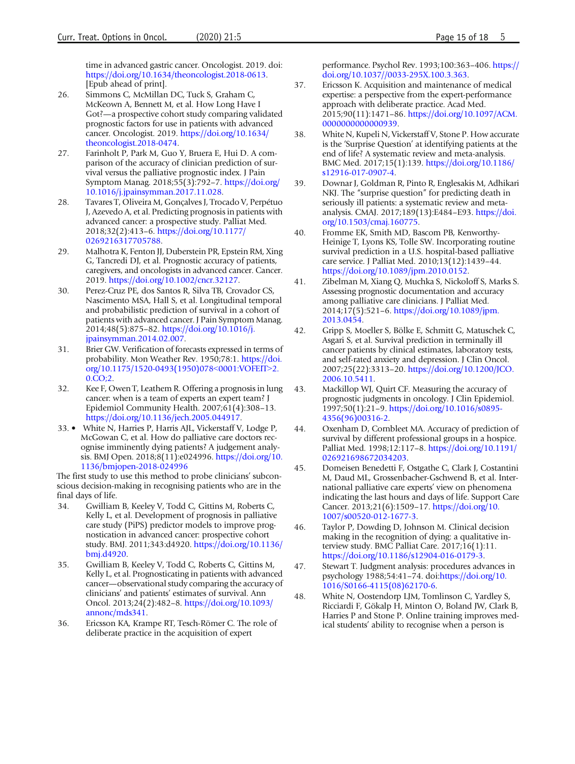<span id="page-14-0"></span>time in advanced gastric cancer. Oncologist. 2019. doi: [https://doi.org/10.1634/theoncologist.2018-0613](http://dx.doi.org/10.1634/theoncologist.2018-0613). [Epub ahead of print].

- 26. Simmons C, McMillan DC, Tuck S, Graham C, McKeown A, Bennett M, et al. How Long Have I Got?—a prospective cohort study comparing validated prognostic factors for use in patients with advanced cancer. Oncologist. 2019. [https://doi.org/10.1634/](http://dx.doi.org/10.1634/theoncologist.2018-0474) [theoncologist.2018-0474.](http://dx.doi.org/10.1634/theoncologist.2018-0474)
- 27. Farinholt P, Park M, Guo Y, Bruera E, Hui D. A comparison of the accuracy of clinician prediction of survival versus the palliative prognostic index. J Pain Symptom Manag. 2018;55(3):792–7. [https://doi.org/](http://dx.doi.org/10.1016/j.jpainsymman.2017.11.028) [10.1016/j.jpainsymman.2017.11.028.](http://dx.doi.org/10.1016/j.jpainsymman.2017.11.028)
- 28. Tavares T, Oliveira M, Gonçalves J, Trocado V, Perpétuo J, Azevedo A, et al. Predicting prognosis in patients with advanced cancer: a prospective study. Palliat Med. 2018;32(2):413–6. [https://doi.org/10.1177/](http://dx.doi.org/10.1177/0269216317705788) [0269216317705788](http://dx.doi.org/10.1177/0269216317705788).
- 29. Malhotra K, Fenton JJ, Duberstein PR, Epstein RM, Xing G, Tancredi DJ, et al. Prognostic accuracy of patients, caregivers, and oncologists in advanced cancer. Cancer. 2019. [https://doi.org/10.1002/cncr.32127.](http://dx.doi.org/10.1002/cncr.32127)
- 30. Perez-Cruz PE, dos Santos R, Silva TB, Crovador CS, Nascimento MSA, Hall S, et al. Longitudinal temporal and probabilistic prediction of survival in a cohort of patients with advanced cancer. J Pain Symptom Manag. 2014;48(5):875–82. [https://doi.org/10.1016/j.](http://dx.doi.org/10.1016/j.jpainsymman.2014.02.007) [jpainsymman.2014.02.007.](http://dx.doi.org/10.1016/j.jpainsymman.2014.02.007)
- 31. Brier GW. Verification of forecasts expressed in terms of probability. Mon Weather Rev. 1950;78:1. [https://doi.](http://dx.doi.org/10.1175/1520-0493(1950)078<0001:VOFEIT>2.0.CO;2) [org/10.1175/1520-0493\(1950\)078](http://dx.doi.org/10.1175/1520-0493(1950)078<0001:VOFEIT>2.0.CO;2)<[0001:VOFEIT](http://dx.doi.org/10.1175/1520-0493(1950)078<0001:VOFEIT>2.0.CO;2)>[2.](http://dx.doi.org/10.1175/1520-0493(1950)078<0001:VOFEIT>2.0.CO;2) [0.CO;2.](http://dx.doi.org/10.1175/1520-0493(1950)078<0001:VOFEIT>2.0.CO;2)
- 32. Kee F, Owen T, Leathem R. Offering a prognosis in lung cancer: when is a team of experts an expert team? J Epidemiol Community Health. 2007;61(4):308–13. [https://doi.org/10.1136/jech.2005.044917.](http://dx.doi.org/10.1136/jech.2005.044917)
- 33. White N, Harries P, Harris AJL, Vickerstaff V, Lodge P, McGowan C, et al. How do palliative care doctors recognise imminently dying patients? A judgement analysis. BMJ Open. 2018;8(11):e024996. [https://doi.org/10.](http://dx.doi.org/10.1136/bmjopen-2018-024996) [1136/bmjopen-2018-024996](http://dx.doi.org/10.1136/bmjopen-2018-024996)

The first study to use this method to probe clinicians' subconscious decision-making in recognising patients who are in the final days of life.

- 34. Gwilliam B, Keeley V, Todd C, Gittins M, Roberts C, Kelly L, et al. Development of prognosis in palliative care study (PiPS) predictor models to improve prognostication in advanced cancer: prospective cohort study. BMJ. 2011;343:d4920. [https://doi.org/10.1136/](http://dx.doi.org/10.1136/bmj.d4920) [bmj.d4920.](http://dx.doi.org/10.1136/bmj.d4920)
- 35. Gwilliam B, Keeley V, Todd C, Roberts C, Gittins M, Kelly L, et al. Prognosticating in patients with advanced cancer—observational study comparing the accuracy of clinicians' and patients' estimates of survival. Ann Oncol. 2013;24(2):482–8. [https://doi.org/10.1093/](http://dx.doi.org/10.1093/annonc/mds341) [annonc/mds341](http://dx.doi.org/10.1093/annonc/mds341).
- 36. Ericsson KA, Krampe RT, Tesch-Römer C. The role of deliberate practice in the acquisition of expert

performance. Psychol Rev. 1993;100:363–406. [https://](http://dx.doi.org/10.1037//0033-295X.100.3.363) [doi.org/10.1037//0033-295X.100.3.363.](http://dx.doi.org/10.1037//0033-295X.100.3.363)

- 37. Ericsson K. Acquisition and maintenance of medical expertise: a perspective from the expert-performance approach with deliberate practice. Acad Med. 2015;90(11):1471–86. [https://doi.org/10.1097/ACM.](http://dx.doi.org/10.1097/ACM.0000000000000939) [0000000000000939.](http://dx.doi.org/10.1097/ACM.0000000000000939)
- 38. White N, Kupeli N, Vickerstaff V, Stone P. How accurate is the 'Surprise Question' at identifying patients at the end of life? A systematic review and meta-analysis. BMC Med. 2017;15(1):139. [https://doi.org/10.1186/](http://dx.doi.org/10.1186/s12916-017-0907-4) [s12916-017-0907-4](http://dx.doi.org/10.1186/s12916-017-0907-4).
- 39. Downar J, Goldman R, Pinto R, Englesakis M, Adhikari NKJ. The "surprise question" for predicting death in seriously ill patients: a systematic review and metaanalysis. CMAJ. 2017;189(13):E484–E93. [https://doi.](http://dx.doi.org/10.1503/cmaj.160775) [org/10.1503/cmaj.160775.](http://dx.doi.org/10.1503/cmaj.160775)
- 40. Fromme EK, Smith MD, Bascom PB, Kenworthy-Heinige T, Lyons KS, Tolle SW. Incorporating routine survival prediction in a U.S. hospital-based palliative care service. J Palliat Med. 2010;13(12):1439–44. [https://doi.org/10.1089/jpm.2010.0152](http://dx.doi.org/10.1089/jpm.2010.0152).
- 41. Zibelman M, Xiang Q, Muchka S, Nickoloff S, Marks S. Assessing prognostic documentation and accuracy among palliative care clinicians. J Palliat Med. 2014;17(5):521–6. [https://doi.org/10.1089/jpm.](http://dx.doi.org/10.1089/jpm.2013.0454) [2013.0454.](http://dx.doi.org/10.1089/jpm.2013.0454)
- 42. Gripp S, Moeller S, Bölke E, Schmitt G, Matuschek C, Asgari S, et al. Survival prediction in terminally ill cancer patients by clinical estimates, laboratory tests, and self-rated anxiety and depression. J Clin Oncol. 2007;25(22):3313–20. [https://doi.org/10.1200/JCO.](http://dx.doi.org/10.1200/JCO.2006.10.5411) [2006.10.5411.](http://dx.doi.org/10.1200/JCO.2006.10.5411)
- 43. Mackillop WJ, Quirt CF. Measuring the accuracy of prognostic judgments in oncology. J Clin Epidemiol. 1997;50(1):21–9. [https://doi.org/10.1016/s0895-](http://dx.doi.org/10.1016/s0895-4356(96)00316-2) [4356\(96\)00316-2.](http://dx.doi.org/10.1016/s0895-4356(96)00316-2)
- 44. Oxenham D, Cornbleet MA. Accuracy of prediction of survival by different professional groups in a hospice. Palliat Med. 1998;12:117–8. [https://doi.org/10.1191/](http://dx.doi.org/10.1191/026921698672034203) [026921698672034203](http://dx.doi.org/10.1191/026921698672034203).
- 45. Domeisen Benedetti F, Ostgathe C, Clark J, Costantini M, Daud ML, Grossenbacher-Gschwend B, et al. International palliative care experts' view on phenomena indicating the last hours and days of life. Support Care Cancer. 2013;21(6):1509–17. [https://doi.org/10.](http://dx.doi.org/10.1007/s00520-012-1677-3) [1007/s00520-012-1677-3](http://dx.doi.org/10.1007/s00520-012-1677-3).
- 46. Taylor P, Dowding D, Johnson M. Clinical decision making in the recognition of dying: a qualitative interview study. BMC Palliat Care. 2017;16(1):11. [https://doi.org/10.1186/s12904-016-0179-3](http://dx.doi.org/10.1186/s12904-016-0179-3).
- 47. Stewart T. Judgment analysis: procedures advances in psychology 1988;54:41–74. doi:[https://doi.org/10.](http://dx.doi.org/10.1016/S0166-4115(08)62170-6) [1016/S0166-4115\(08\)62170-6.](http://dx.doi.org/10.1016/S0166-4115(08)62170-6)
- 48. White N, Oostendorp LJM, Tomlinson C, Yardley S, Ricciardi F, Gökalp H, Minton O, Boland JW, Clark B, Harries P and Stone P. Online training improves medical students' ability to recognise when a person is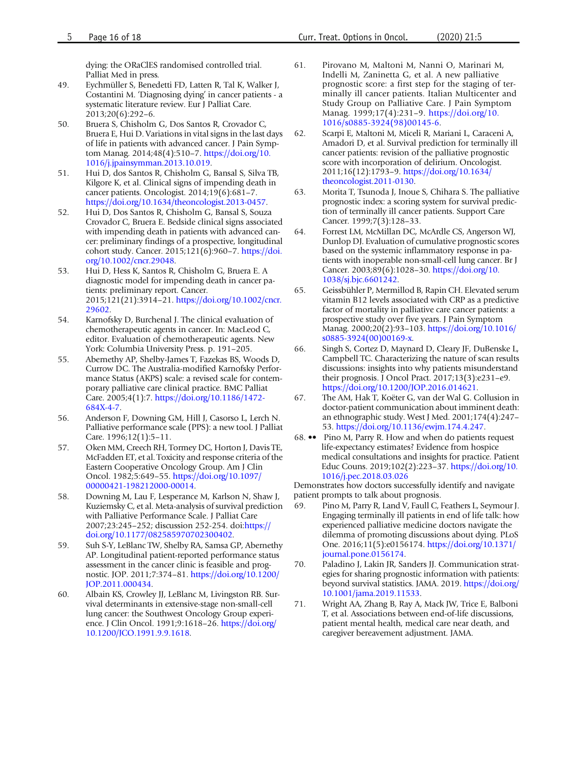dying: the ORaClES randomised controlled trial. Palliat Med in press.

- <span id="page-15-0"></span>49. Eychmüller S, Benedetti FD, Latten R, Tal K, Walker J, Costantini M. 'Diagnosing dying' in cancer patients - a systematic literature review. Eur J Palliat Care. 2013;20(6):292–6.
- 50. Bruera S, Chisholm G, Dos Santos R, Crovador C, Bruera E, Hui D. Variations in vital signs in the last days of life in patients with advanced cancer. J Pain Symptom Manag. 2014;48(4):510–7. [https://doi.org/10.](http://dx.doi.org/10.1016/j.jpainsymman.2013.10.019) [1016/j.jpainsymman.2013.10.019.](http://dx.doi.org/10.1016/j.jpainsymman.2013.10.019)
- 51. Hui D, dos Santos R, Chisholm G, Bansal S, Silva TB, Kilgore K, et al. Clinical signs of impending death in cancer patients. Oncologist. 2014;19(6):681–7. [https://doi.org/10.1634/theoncologist.2013-0457](http://dx.doi.org/10.1634/theoncologist.2013-0457).
- 52. Hui D, Dos Santos R, Chisholm G, Bansal S, Souza Crovador C, Bruera E. Bedside clinical signs associated with impending death in patients with advanced cancer: preliminary findings of a prospective, longitudinal cohort study. Cancer. 2015;121(6):960–7. [https://doi.](http://dx.doi.org/10.1002/cncr.29048) [org/10.1002/cncr.29048](http://dx.doi.org/10.1002/cncr.29048).
- 53. Hui D, Hess K, Santos R, Chisholm G, Bruera E. A diagnostic model for impending death in cancer patients: preliminary report. Cancer. 2015;121(21):3914–21. [https://doi.org/10.1002/cncr.](http://dx.doi.org/10.1002/cncr.29602) [29602](http://dx.doi.org/10.1002/cncr.29602).
- 54. Karnofsky D, Burchenal J. The clinical evaluation of chemotherapeutic agents in cancer. In: MacLeod C, editor. Evaluation of chemotherapeutic agents. New York: Columbia University Press. p. 191–205.
- 55. Abernethy AP, Shelby-James T, Fazekas BS, Woods D, Currow DC. The Australia-modified Karnofsky Performance Status (AKPS) scale: a revised scale for contemporary palliative care clinical practice. BMC Palliat Care. 2005;4(1):7. [https://doi.org/10.1186/1472-](http://dx.doi.org/10.1186/1472-684X-4-7) [684X-4-7.](http://dx.doi.org/10.1186/1472-684X-4-7)
- 56. Anderson F, Downing GM, Hill J, Casorso L, Lerch N. Palliative performance scale (PPS): a new tool. J Palliat Care. 1996;12(1):5–11.
- 57. Oken MM, Creech RH, Tormey DC, Horton J, Davis TE, McFadden ET, et al. Toxicity and response criteria of the Eastern Cooperative Oncology Group. Am J Clin Oncol. 1982;5:649–55. [https://doi.org/10.1097/](http://dx.doi.org/10.1097/00000421-198212000-00014) [00000421-198212000-00014.](http://dx.doi.org/10.1097/00000421-198212000-00014)
- 58. Downing M, Lau F, Lesperance M, Karlson N, Shaw J, Kuziemsky C, et al. Meta-analysis of survival prediction with Palliative Performance Scale. J Palliat Care 2007;23:245–252; discussion 252-254. doi[:https://](http://dx.doi.org/10.1177/082585970702300402) [doi.org/10.1177/082585970702300402.](http://dx.doi.org/10.1177/082585970702300402)
- 59. Suh S-Y, LeBlanc TW, Shelby RA, Samsa GP, Abernethy AP. Longitudinal patient-reported performance status assessment in the cancer clinic is feasible and prognostic. JOP. 2011;7:374–81. [https://doi.org/10.1200/](http://dx.doi.org/10.1200/JOP.2011.000434) [JOP.2011.000434.](http://dx.doi.org/10.1200/JOP.2011.000434)
- 60. Albain KS, Crowley JJ, LeBlanc M, Livingston RB. Survival determinants in extensive-stage non-small-cell lung cancer: the Southwest Oncology Group experience. J Clin Oncol. 1991;9:1618–26. [https://doi.org/](http://dx.doi.org/10.1200/JCO.1991.9.9.1618) [10.1200/JCO.1991.9.9.1618](http://dx.doi.org/10.1200/JCO.1991.9.9.1618).
- 61. Pirovano M, Maltoni M, Nanni O, Marinari M, Indelli M, Zaninetta G, et al. A new palliative prognostic score: a first step for the staging of terminally ill cancer patients. Italian Multicenter and Study Group on Palliative Care. J Pain Symptom Manag. 1999;17(4):231–9. [https://doi.org/10.](http://dx.doi.org/10.1016/s0885-3924(98)00145-6) [1016/s0885-3924\(98\)00145-6](http://dx.doi.org/10.1016/s0885-3924(98)00145-6).
- 62. Scarpi E, Maltoni M, Miceli R, Mariani L, Caraceni A, Amadori D, et al. Survival prediction for terminally ill cancer patients: revision of the palliative prognostic score with incorporation of delirium. Oncologist. 2011;16(12):1793–9. [https://doi.org/10.1634/](http://dx.doi.org/10.1634/theoncologist.2011-0130) [theoncologist.2011-0130.](http://dx.doi.org/10.1634/theoncologist.2011-0130)
- 63. Morita T, Tsunoda J, Inoue S, Chihara S. The palliative prognostic index: a scoring system for survival prediction of terminally ill cancer patients. Support Care Cancer. 1999;7(3):128–33.
- 64. Forrest LM, McMillan DC, McArdle CS, Angerson WJ, Dunlop DJ. Evaluation of cumulative prognostic scores based on the systemic inflammatory response in patients with inoperable non-small-cell lung cancer. Br J Cancer. 2003;89(6):1028–30. [https://doi.org/10.](http://dx.doi.org/10.1038/sj.bjc.6601242) [1038/sj.bjc.6601242](http://dx.doi.org/10.1038/sj.bjc.6601242).
- 65. Geissbühler P, Mermillod B, Rapin CH. Elevated serum vitamin B12 levels associated with CRP as a predictive factor of mortality in palliative care cancer patients: a prospective study over five years. J Pain Symptom Manag. 2000;20(2):93–103. [https://doi.org/10.1016/](http://dx.doi.org/10.1016/s0885-3924(00)00169-x) [s0885-3924\(00\)00169-x.](http://dx.doi.org/10.1016/s0885-3924(00)00169-x)
- 66. Singh S, Cortez D, Maynard D, Cleary JF, DuBenske L, Campbell TC. Characterizing the nature of scan results discussions: insights into why patients misunderstand their prognosis. J Oncol Pract. 2017;13(3):e231–e9. [https://doi.org/10.1200/JOP.2016.014621.](http://dx.doi.org/10.1200/JOP.2016.014621)
- 67. The AM, Hak T, Koëter G, van der Wal G. Collusion in doctor-patient communication about imminent death: an ethnographic study. West J Med. 2001;174(4):247– 53. [https://doi.org/10.1136/ewjm.174.4.247](http://dx.doi.org/10.1136/ewjm.174.4.247).
- 68. •• Pino M, Parry R. How and when do patients request life-expectancy estimates? Evidence from hospice medical consultations and insights for practice. Patient Educ Couns. 2019;102(2):223–37. [https://doi.org/10.](http://dx.doi.org/10.1016/j.pec.2018.03.026) [1016/j.pec.2018.03.026](http://dx.doi.org/10.1016/j.pec.2018.03.026)

Demonstrates how doctors successfully identify and navigate patient prompts to talk about prognosis.

- 69. Pino M, Parry R, Land V, Faull C, Feathers L, Seymour J. Engaging terminally ill patients in end of life talk: how experienced palliative medicine doctors navigate the dilemma of promoting discussions about dying. PLoS One. 2016;11(5):e0156174. [https://doi.org/10.1371/](http://dx.doi.org/10.1371/journal.pone.0156174) [journal.pone.0156174.](http://dx.doi.org/10.1371/journal.pone.0156174)
- 70. Paladino J, Lakin JR, Sanders JJ. Communication strategies for sharing prognostic information with patients: beyond survival statistics. JAMA. 2019. [https://doi.org/](http://dx.doi.org/10.1001/jama.2019.11533) [10.1001/jama.2019.11533.](http://dx.doi.org/10.1001/jama.2019.11533)
- 71. Wright AA, Zhang B, Ray A, Mack JW, Trice E, Balboni T, et al. Associations between end-of-life discussions, patient mental health, medical care near death, and caregiver bereavement adjustment. JAMA.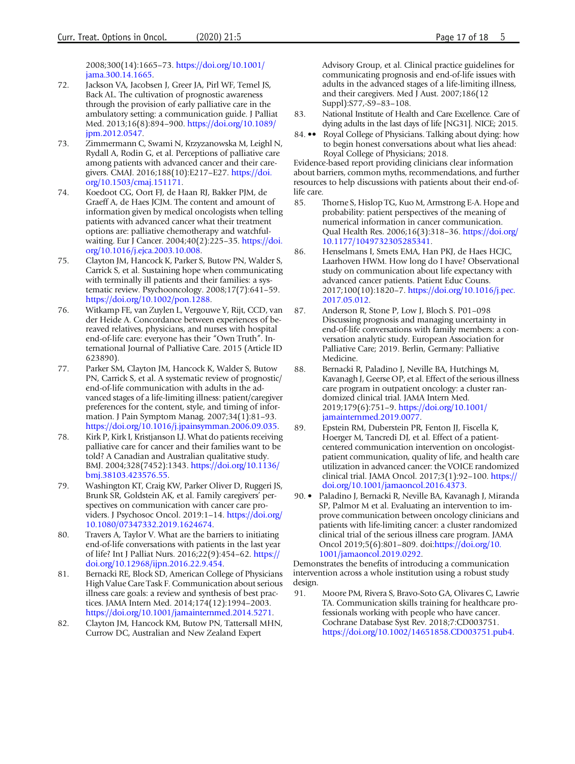2008;300(14):1665–73. [https://doi.org/10.1001/](http://dx.doi.org/10.1001/jama.300.14.1665) [jama.300.14.1665](http://dx.doi.org/10.1001/jama.300.14.1665).

- <span id="page-16-0"></span>72. Jackson VA, Jacobsen J, Greer JA, Pirl WF, Temel JS, Back AL. The cultivation of prognostic awareness through the provision of early palliative care in the ambulatory setting: a communication guide. J Palliat Med. 2013;16(8):894–900. [https://doi.org/10.1089/](http://dx.doi.org/10.1089/jpm.2012.0547) [jpm.2012.0547](http://dx.doi.org/10.1089/jpm.2012.0547).
- 73. Zimmermann C, Swami N, Krzyzanowska M, Leighl N, Rydall A, Rodin G, et al. Perceptions of palliative care among patients with advanced cancer and their caregivers. CMAJ. 2016;188(10):E217–E27. [https://doi.](http://dx.doi.org/10.1503/cmaj.151171) [org/10.1503/cmaj.151171.](http://dx.doi.org/10.1503/cmaj.151171)
- 74. Koedoot CG, Oort FJ, de Haan RJ, Bakker PJM, de Graeff A, de Haes JCJM. The content and amount of information given by medical oncologists when telling patients with advanced cancer what their treatment options are: palliative chemotherapy and watchfulwaiting. Eur J Cancer. 2004;40(2):225–35. [https://doi.](http://dx.doi.org/10.1016/j.ejca.2003.10.008) [org/10.1016/j.ejca.2003.10.008](http://dx.doi.org/10.1016/j.ejca.2003.10.008).
- 75. Clayton JM, Hancock K, Parker S, Butow PN, Walder S, Carrick S, et al. Sustaining hope when communicating with terminally ill patients and their families: a systematic review. Psychooncology. 2008;17(7):641–59. [https://doi.org/10.1002/pon.1288.](http://dx.doi.org/10.1002/pon.1288)
- 76. Witkamp FE, van Zuylen L, Vergouwe Y, Rijt, CCD, van der Heide A. Concordance between experiences of bereaved relatives, physicians, and nurses with hospital end-of-life care: everyone has their "Own Truth". International Journal of Palliative Care. 2015 (Article ID 623890).
- 77. Parker SM, Clayton JM, Hancock K, Walder S, Butow PN, Carrick S, et al. A systematic review of prognostic/ end-of-life communication with adults in the advanced stages of a life-limiting illness: patient/caregiver preferences for the content, style, and timing of information. J Pain Symptom Manag. 2007;34(1):81–93. [https://doi.org/10.1016/j.jpainsymman.2006.09.035](http://dx.doi.org/10.1016/j.jpainsymman.2006.09.035).
- 78. Kirk P, Kirk I, Kristjanson LJ. What do patients receiving palliative care for cancer and their families want to be told? A Canadian and Australian qualitative study. BMJ. 2004;328(7452):1343. [https://doi.org/10.1136/](http://dx.doi.org/10.1136/bmj.38103.423576.55) [bmj.38103.423576.55.](http://dx.doi.org/10.1136/bmj.38103.423576.55)
- 79. Washington KT, Craig KW, Parker Oliver D, Ruggeri JS, Brunk SR, Goldstein AK, et al. Family caregivers' perspectives on communication with cancer care providers. J Psychosoc Oncol. 2019:1–14. [https://doi.org/](http://dx.doi.org/10.1080/07347332.2019.1624674) [10.1080/07347332.2019.1624674.](http://dx.doi.org/10.1080/07347332.2019.1624674)
- 80. Travers A, Taylor V. What are the barriers to initiating end-of-life conversations with patients in the last year of life? Int J Palliat Nurs. 2016;22(9):454–62. [https://](http://dx.doi.org/10.12968/ijpn.2016.22.9.454) [doi.org/10.12968/ijpn.2016.22.9.454](http://dx.doi.org/10.12968/ijpn.2016.22.9.454).
- 81. Bernacki RE, Block SD, American College of Physicians High Value Care Task F. Communication about serious illness care goals: a review and synthesis of best practices. JAMA Intern Med. 2014;174(12):1994–2003. [https://doi.org/10.1001/jamainternmed.2014.5271.](http://dx.doi.org/10.1001/jamainternmed.2014.5271)
- 82. Clayton JM, Hancock KM, Butow PN, Tattersall MHN, Currow DC, Australian and New Zealand Expert

Advisory Group, et al. Clinical practice guidelines for communicating prognosis and end-of-life issues with adults in the advanced stages of a life-limiting illness, and their caregivers. Med J Aust. 2007;186(12 Suppl):S77,-S9–83–108.

- 83. National Institute of Health and Care Excellence. Care of dying adults in the last days of life [NG31]. NICE; 2015.
- 84. •• Royal College of Physicians. Talking about dying: how to begin honest conversations about what lies ahead: Royal College of Physicians; 2018.

Evidence-based report providing clinicians clear information about barriers, common myths, recommendations, and further resources to help discussions with patients about their end-oflife care.

- 85. Thorne S, Hislop TG, Kuo M, Armstrong E-A. Hope and probability: patient perspectives of the meaning of numerical information in cancer communication. Qual Health Res. 2006;16(3):318–36. [https://doi.org/](http://dx.doi.org/10.1177/1049732305285341) [10.1177/1049732305285341.](http://dx.doi.org/10.1177/1049732305285341)
- 86. Henselmans I, Smets EMA, Han PKJ, de Haes HCJC, Laarhoven HWM. How long do I have? Observational study on communication about life expectancy with advanced cancer patients. Patient Educ Couns. 2017;100(10):1820–7. [https://doi.org/10.1016/j.pec.](http://dx.doi.org/10.1016/j.pec.2017.05.012) [2017.05.012.](http://dx.doi.org/10.1016/j.pec.2017.05.012)
- 87. Anderson R, Stone P, Low J, Bloch S. P01–098 Discussing prognosis and managing uncertainty in end-of-life conversations with family members: a conversation analytic study. European Association for Palliative Care; 2019. Berlin, Germany: Palliative Medicine.
- 88. Bernacki R, Paladino J, Neville BA, Hutchings M, Kavanagh J, Geerse OP, et al. Effect of the serious illness care program in outpatient oncology: a cluster randomized clinical trial. JAMA Intern Med. 2019;179(6):751–9. [https://doi.org/10.1001/](http://dx.doi.org/10.1001/jamainternmed.2019.0077) [jamainternmed.2019.0077.](http://dx.doi.org/10.1001/jamainternmed.2019.0077)
- 89. Epstein RM, Duberstein PR, Fenton JJ, Fiscella K, Hoerger M, Tancredi DJ, et al. Effect of a patientcentered communication intervention on oncologistpatient communication, quality of life, and health care utilization in advanced cancer: the VOICE randomized clinical trial. JAMA Oncol. 2017;3(1):92–100. [https://](http://dx.doi.org/10.1001/jamaoncol.2016.4373) [doi.org/10.1001/jamaoncol.2016.4373](http://dx.doi.org/10.1001/jamaoncol.2016.4373).
- 90. Paladino J, Bernacki R, Neville BA, Kavanagh J, Miranda SP, Palmor M et al. Evaluating an intervention to improve communication between oncology clinicians and patients with life-limiting cancer: a cluster randomized clinical trial of the serious illness care program. JAMA Oncol 2019;5(6):801–809. doi[:https://doi.org/10.](http://dx.doi.org/10.1001/jamaoncol.2019.0292) [1001/jamaoncol.2019.0292](http://dx.doi.org/10.1001/jamaoncol.2019.0292).

Demonstrates the benefits of introducing a communication intervention across a whole institution using a robust study design.

91. Moore PM, Rivera S, Bravo-Soto GA, Olivares C, Lawrie TA. Communication skills training for healthcare professionals working with people who have cancer. Cochrane Database Syst Rev. 2018;7:CD003751. [https://doi.org/10.1002/14651858.CD003751.pub4.](http://dx.doi.org/10.1002/14651858.CD003751.pub4)